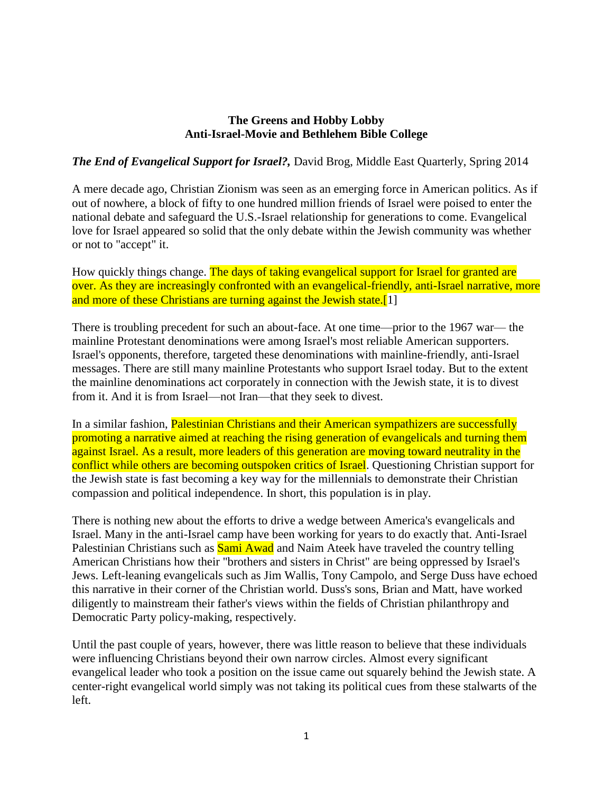## **The Greens and Hobby Lobby Anti-Israel-Movie and Bethlehem Bible College**

*The End of Evangelical Support for Israel?,* David Brog, Middle East Quarterly, Spring 2014

A mere decade ago, Christian Zionism was seen as an emerging force in American politics. As if out of nowhere, a block of fifty to one hundred million friends of Israel were poised to enter the national debate and safeguard the U.S.-Israel relationship for generations to come. Evangelical love for Israel appeared so solid that the only debate within the Jewish community was whether or not to "accept" it.

How quickly things change. The days of taking evangelical support for Israel for granted are over. As they are increasingly confronted with an evangelical-friendly, anti-Israel narrative, more and more of these Christians are turning against the Jewish state.<sup>[1]</sup>

There is troubling precedent for such an about-face. At one time—prior to the 1967 war— the mainline Protestant denominations were among Israel's most reliable American supporters. Israel's opponents, therefore, targeted these denominations with mainline-friendly, anti-Israel messages. There are still many mainline Protestants who support Israel today. But to the extent the mainline denominations act corporately in connection with the Jewish state, it is to divest from it. And it is from Israel—not Iran—that they seek to divest.

In a similar fashion, Palestinian Christians and their American sympathizers are successfully promoting a narrative aimed at reaching the rising generation of evangelicals and turning them against Israel. As a result, more leaders of this generation are moving toward neutrality in the conflict while others are becoming outspoken critics of Israel. Questioning Christian support for the Jewish state is fast becoming a key way for the millennials to demonstrate their Christian compassion and political independence. In short, this population is in play.

There is nothing new about the efforts to drive a wedge between America's evangelicals and Israel. Many in the anti-Israel camp have been working for years to do exactly that. Anti-Israel Palestinian Christians such as **Sami Awad** and Naim Ateek have traveled the country telling American Christians how their "brothers and sisters in Christ" are being oppressed by Israel's Jews. Left-leaning evangelicals such as Jim Wallis, Tony Campolo, and Serge Duss have echoed this narrative in their corner of the Christian world. Duss's sons, Brian and Matt, have worked diligently to mainstream their father's views within the fields of Christian philanthropy and Democratic Party policy-making, respectively.

Until the past couple of years, however, there was little reason to believe that these individuals were influencing Christians beyond their own narrow circles. Almost every significant evangelical leader who took a position on the issue came out squarely behind the Jewish state. A center-right evangelical world simply was not taking its political cues from these stalwarts of the left.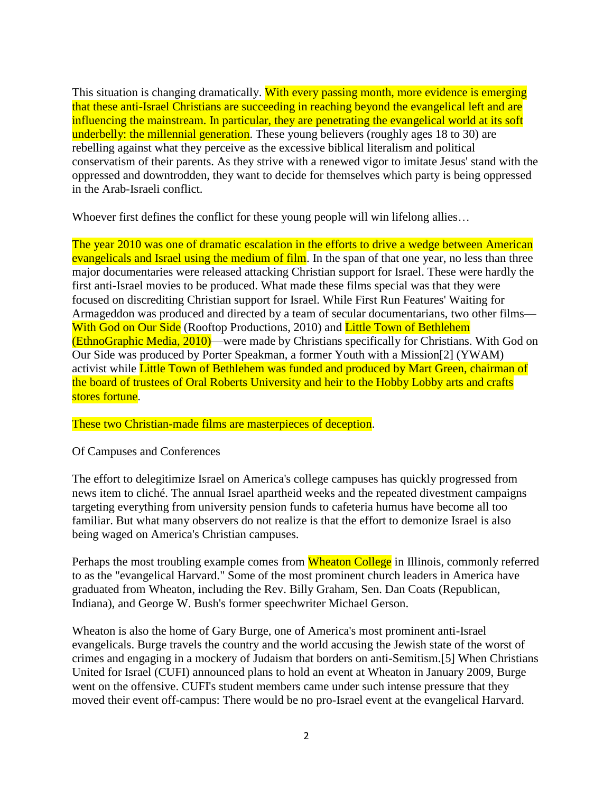This situation is changing dramatically. With every passing month, more evidence is emerging that these anti-Israel Christians are succeeding in reaching beyond the evangelical left and are influencing the mainstream. In particular, they are penetrating the evangelical world at its soft underbelly: the millennial generation. These young believers (roughly ages 18 to 30) are rebelling against what they perceive as the excessive biblical literalism and political conservatism of their parents. As they strive with a renewed vigor to imitate Jesus' stand with the oppressed and downtrodden, they want to decide for themselves which party is being oppressed in the Arab-Israeli conflict.

Whoever first defines the conflict for these young people will win lifelong allies...

The year 2010 was one of dramatic escalation in the efforts to drive a wedge between American evangelicals and Israel using the medium of film. In the span of that one year, no less than three major documentaries were released attacking Christian support for Israel. These were hardly the first anti-Israel movies to be produced. What made these films special was that they were focused on discrediting Christian support for Israel. While First Run Features' Waiting for Armageddon was produced and directed by a team of secular documentarians, two other films— With God on Our Side (Rooftop Productions, 2010) and Little Town of Bethlehem (EthnoGraphic Media, 2010)—were made by Christians specifically for Christians. With God on Our Side was produced by Porter Speakman, a former Youth with a Mission[2] (YWAM) activist while Little Town of Bethlehem was funded and produced by Mart Green, chairman of the board of trustees of Oral Roberts University and heir to the Hobby Lobby arts and crafts stores fortune.

These two Christian-made films are masterpieces of deception.

### Of Campuses and Conferences

The effort to delegitimize Israel on America's college campuses has quickly progressed from news item to cliché. The annual Israel apartheid weeks and the repeated divestment campaigns targeting everything from university pension funds to cafeteria humus have become all too familiar. But what many observers do not realize is that the effort to demonize Israel is also being waged on America's Christian campuses.

Perhaps the most troubling example comes from Wheaton College in Illinois, commonly referred to as the "evangelical Harvard." Some of the most prominent church leaders in America have graduated from Wheaton, including the Rev. Billy Graham, Sen. Dan Coats (Republican, Indiana), and George W. Bush's former speechwriter Michael Gerson.

Wheaton is also the home of Gary Burge, one of America's most prominent anti-Israel evangelicals. Burge travels the country and the world accusing the Jewish state of the worst of crimes and engaging in a mockery of Judaism that borders on anti-Semitism.[5] When Christians United for Israel (CUFI) announced plans to hold an event at Wheaton in January 2009, Burge went on the offensive. CUFI's student members came under such intense pressure that they moved their event off-campus: There would be no pro-Israel event at the evangelical Harvard.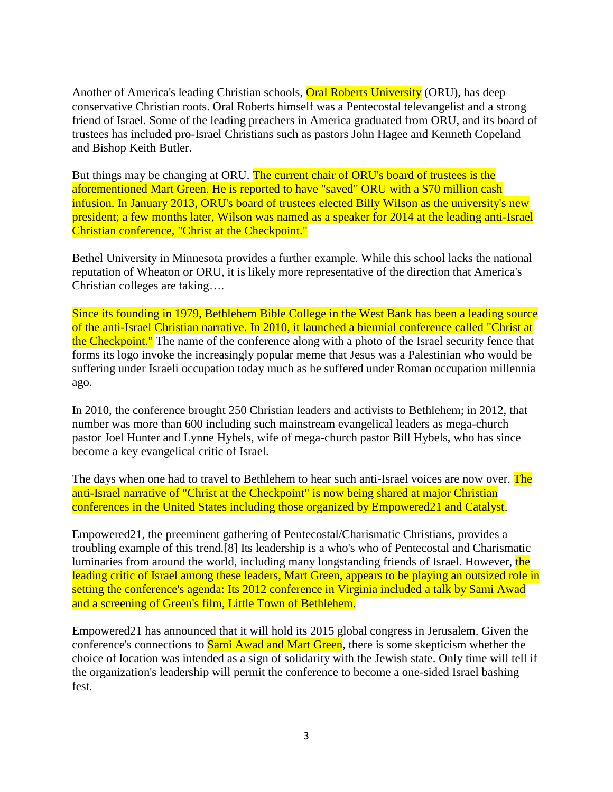Another of America's leading Christian schools, **Oral Roberts University** (ORU), has deep conservative Christian roots. Oral Roberts himself was a Pentecostal televangelist and a strong friend of Israel. Some of the leading preachers in America graduated from ORU, and its board of trustees has included pro-Israel Christians such as pastors John Hagee and Kenneth Copeland and Bishop Keith Butler.

But things may be changing at ORU. The current chair of ORU's board of trustees is the aforementioned Mart Green. He is reported to have "saved" ORU with a \$70 million cash infusion. In January 2013, ORU's board of trustees elected Billy Wilson as the university's new president; a few months later, Wilson was named as a speaker for 2014 at the leading anti-Israel Christian conference, "Christ at the Checkpoint."

Bethel University in Minnesota provides a further example. While this school lacks the national reputation of Wheaton or ORU, it is likely more representative of the direction that America's Christian colleges are taking….

Since its founding in 1979, Bethlehem Bible College in the West Bank has been a leading source of the anti-Israel Christian narrative. In 2010, it launched a biennial conference called "Christ at the Checkpoint." The name of the conference along with a photo of the Israel security fence that forms its logo invoke the increasingly popular meme that Jesus was a Palestinian who would be suffering under Israeli occupation today much as he suffered under Roman occupation millennia ago.

In 2010, the conference brought 250 Christian leaders and activists to Bethlehem; in 2012, that number was more than 600 including such mainstream evangelical leaders as mega-church pastor Joel Hunter and Lynne Hybels, wife of mega-church pastor Bill Hybels, who has since become a key evangelical critic of Israel.

The days when one had to travel to Bethlehem to hear such anti-Israel voices are now over. The anti-Israel narrative of "Christ at the Checkpoint" is now being shared at major Christian conferences in the United States including those organized by Empowered21 and Catalyst.

Empowered21, the preeminent gathering of Pentecostal/Charismatic Christians, provides a troubling example of this trend.[8] Its leadership is a who's who of Pentecostal and Charismatic luminaries from around the world, including many longstanding friends of Israel. However, the leading critic of Israel among these leaders, Mart Green, appears to be playing an outsized role in setting the conference's agenda: Its 2012 conference in Virginia included a talk by Sami Awad and a screening of Green's film, Little Town of Bethlehem.

Empowered21 has announced that it will hold its 2015 global congress in Jerusalem. Given the conference's connections to **Sami Awad and Mart Green**, there is some skepticism whether the choice of location was intended as a sign of solidarity with the Jewish state. Only time will tell if the organization's leadership will permit the conference to become a one-sided Israel bashing fest.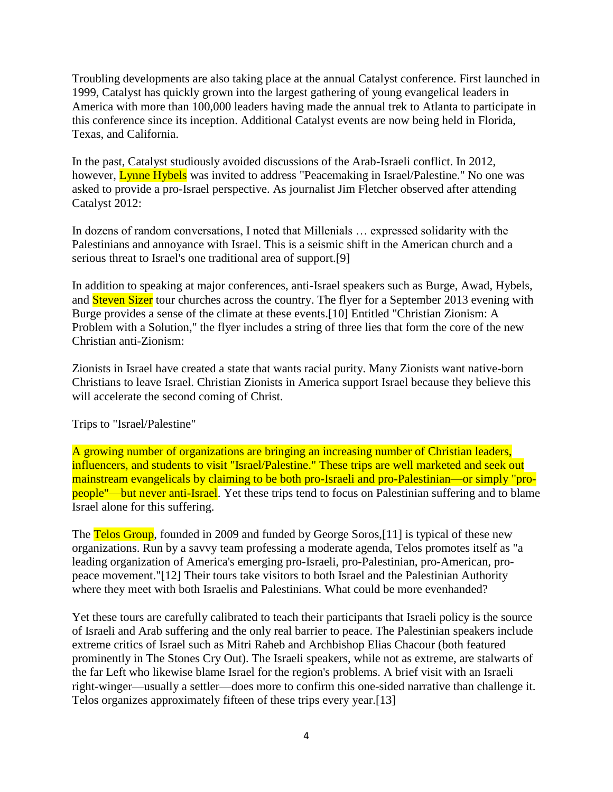Troubling developments are also taking place at the annual Catalyst conference. First launched in 1999, Catalyst has quickly grown into the largest gathering of young evangelical leaders in America with more than 100,000 leaders having made the annual trek to Atlanta to participate in this conference since its inception. Additional Catalyst events are now being held in Florida, Texas, and California.

In the past, Catalyst studiously avoided discussions of the Arab-Israeli conflict. In 2012, however, **Lynne Hybels** was invited to address "Peacemaking in Israel/Palestine." No one was asked to provide a pro-Israel perspective. As journalist Jim Fletcher observed after attending Catalyst 2012:

In dozens of random conversations, I noted that Millenials … expressed solidarity with the Palestinians and annoyance with Israel. This is a seismic shift in the American church and a serious threat to Israel's one traditional area of support.[9]

In addition to speaking at major conferences, anti-Israel speakers such as Burge, Awad, Hybels, and Steven Sizer tour churches across the country. The flyer for a September 2013 evening with Burge provides a sense of the climate at these events.[10] Entitled "Christian Zionism: A Problem with a Solution," the flyer includes a string of three lies that form the core of the new Christian anti-Zionism:

Zionists in Israel have created a state that wants racial purity. Many Zionists want native-born Christians to leave Israel. Christian Zionists in America support Israel because they believe this will accelerate the second coming of Christ.

Trips to "Israel/Palestine"

A growing number of organizations are bringing an increasing number of Christian leaders, influencers, and students to visit "Israel/Palestine." These trips are well marketed and seek out mainstream evangelicals by claiming to be both pro-Israeli and pro-Palestinian—or simply "propeople"—but never anti-Israel. Yet these trips tend to focus on Palestinian suffering and to blame Israel alone for this suffering.

The Telos Group, founded in 2009 and funded by George Soros, [11] is typical of these new organizations. Run by a savvy team professing a moderate agenda, Telos promotes itself as "a leading organization of America's emerging pro-Israeli, pro-Palestinian, pro-American, propeace movement."[12] Their tours take visitors to both Israel and the Palestinian Authority where they meet with both Israelis and Palestinians. What could be more evenhanded?

Yet these tours are carefully calibrated to teach their participants that Israeli policy is the source of Israeli and Arab suffering and the only real barrier to peace. The Palestinian speakers include extreme critics of Israel such as Mitri Raheb and Archbishop Elias Chacour (both featured prominently in The Stones Cry Out). The Israeli speakers, while not as extreme, are stalwarts of the far Left who likewise blame Israel for the region's problems. A brief visit with an Israeli right-winger—usually a settler—does more to confirm this one-sided narrative than challenge it. Telos organizes approximately fifteen of these trips every year.[13]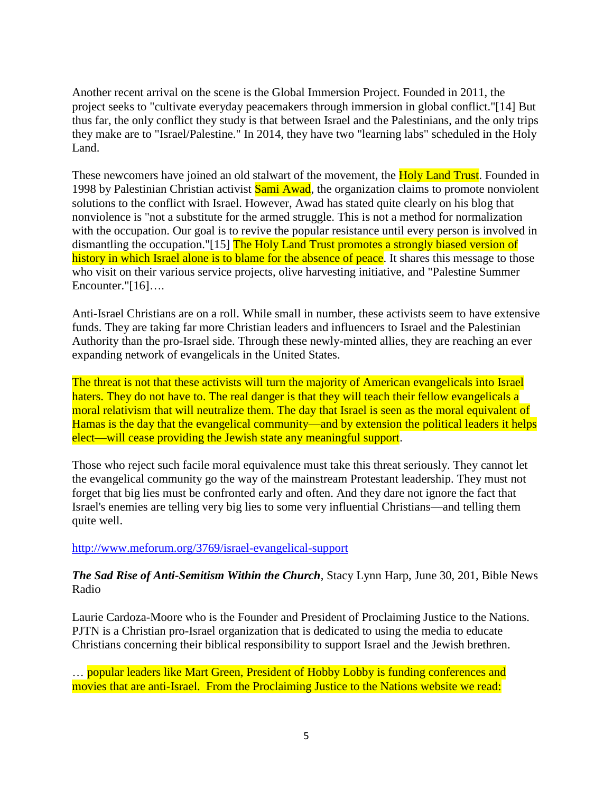Another recent arrival on the scene is the Global Immersion Project. Founded in 2011, the project seeks to "cultivate everyday peacemakers through immersion in global conflict."[14] But thus far, the only conflict they study is that between Israel and the Palestinians, and the only trips they make are to "Israel/Palestine." In 2014, they have two "learning labs" scheduled in the Holy Land.

These newcomers have joined an old stalwart of the movement, the **Holy Land Trust**. Founded in 1998 by Palestinian Christian activist **Sami Awad**, the organization claims to promote nonviolent solutions to the conflict with Israel. However, Awad has stated quite clearly on his blog that nonviolence is "not a substitute for the armed struggle. This is not a method for normalization with the occupation. Our goal is to revive the popular resistance until every person is involved in dismantling the occupation."[15] The Holy Land Trust promotes a strongly biased version of history in which Israel alone is to blame for the absence of peace. It shares this message to those who visit on their various service projects, olive harvesting initiative, and "Palestine Summer Encounter."[16]....

Anti-Israel Christians are on a roll. While small in number, these activists seem to have extensive funds. They are taking far more Christian leaders and influencers to Israel and the Palestinian Authority than the pro-Israel side. Through these newly-minted allies, they are reaching an ever expanding network of evangelicals in the United States.

The threat is not that these activists will turn the majority of American evangelicals into Israel haters. They do not have to. The real danger is that they will teach their fellow evangelicals a moral relativism that will neutralize them. The day that Israel is seen as the moral equivalent of Hamas is the day that the evangelical community—and by extension the political leaders it helps elect—will cease providing the Jewish state any meaningful support.

Those who reject such facile moral equivalence must take this threat seriously. They cannot let the evangelical community go the way of the mainstream Protestant leadership. They must not forget that big lies must be confronted early and often. And they dare not ignore the fact that Israel's enemies are telling very big lies to some very influential Christians—and telling them quite well.

### <http://www.meforum.org/3769/israel-evangelical-support>

### *The Sad Rise of Anti-Semitism Within the Church*, Stacy Lynn Harp, June 30, 201, Bible News Radio

Laurie Cardoza-Moore who is the Founder and President of Proclaiming Justice to the Nations. PJTN is a Christian pro-Israel organization that is dedicated to using the media to educate Christians concerning their biblical responsibility to support Israel and the Jewish brethren.

... popular leaders like Mart Green, President of Hobby Lobby is funding conferences and movies that are anti-Israel. From the Proclaiming Justice to the Nations website we read: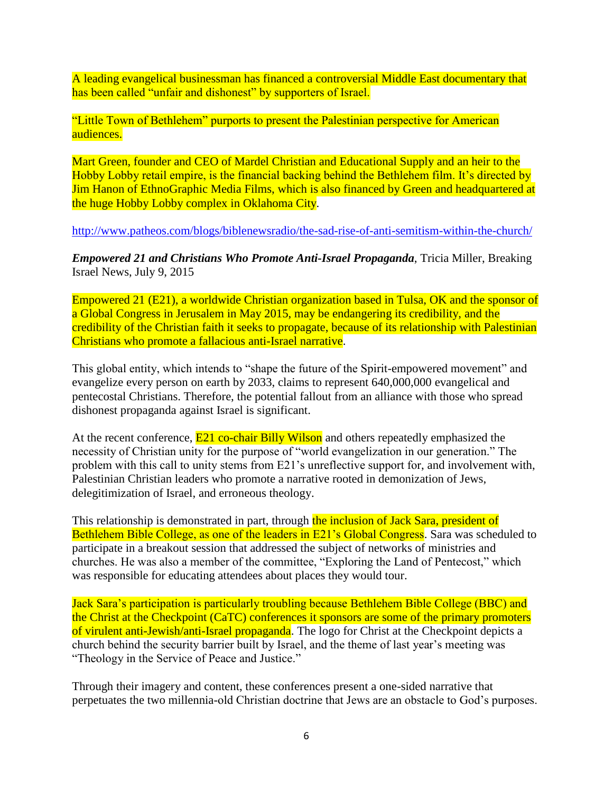A leading evangelical businessman has financed a controversial Middle East documentary that has been called "unfair and dishonest" by supporters of Israel.

"Little Town of Bethlehem" purports to present the Palestinian perspective for American audiences.

Mart Green, founder and CEO of Mardel Christian and Educational Supply and an heir to the Hobby Lobby retail empire, is the financial backing behind the Bethlehem film. It's directed by Jim Hanon of EthnoGraphic Media Films, which is also financed by Green and headquartered at the huge Hobby Lobby complex in Oklahoma City.

<http://www.patheos.com/blogs/biblenewsradio/the-sad-rise-of-anti-semitism-within-the-church/>

*Empowered 21 and Christians Who Promote Anti-Israel Propaganda*, Tricia Miller, Breaking Israel News, July 9, 2015

Empowered 21 (E21), a worldwide Christian organization based in Tulsa, OK and the sponsor of a Global Congress in Jerusalem in May 2015, may be endangering its credibility, and the credibility of the Christian faith it seeks to propagate, because of its relationship with Palestinian Christians who promote a fallacious anti-Israel narrative.

This global entity, which intends to "shape the future of the Spirit-empowered movement" and evangelize every person on earth by 2033, claims to represent 640,000,000 evangelical and pentecostal Christians. Therefore, the potential fallout from an alliance with those who spread dishonest propaganda against Israel is significant.

At the recent conference,  $E21$  co-chair Billy Wilson and others repeatedly emphasized the necessity of Christian unity for the purpose of "world evangelization in our generation." The problem with this call to unity stems from E21's unreflective support for, and involvement with, Palestinian Christian leaders who promote a narrative rooted in demonization of Jews, delegitimization of Israel, and erroneous theology.

This relationship is demonstrated in part, through the inclusion of Jack Sara, president of Bethlehem Bible College, as one of the leaders in E21's Global Congress. Sara was scheduled to participate in a breakout session that addressed the subject of networks of ministries and churches. He was also a member of the committee, "Exploring the Land of Pentecost," which was responsible for educating attendees about places they would tour.

Jack Sara's participation is particularly troubling because Bethlehem Bible College (BBC) and the Christ at the Checkpoint (CaTC) conferences it sponsors are some of the primary promoters of virulent anti-Jewish/anti-Israel propaganda. The logo for Christ at the Checkpoint depicts a church behind the security barrier built by Israel, and the theme of last year's meeting was "Theology in the Service of Peace and Justice."

Through their imagery and content, these conferences present a one-sided narrative that perpetuates the two millennia-old Christian doctrine that Jews are an obstacle to God's purposes.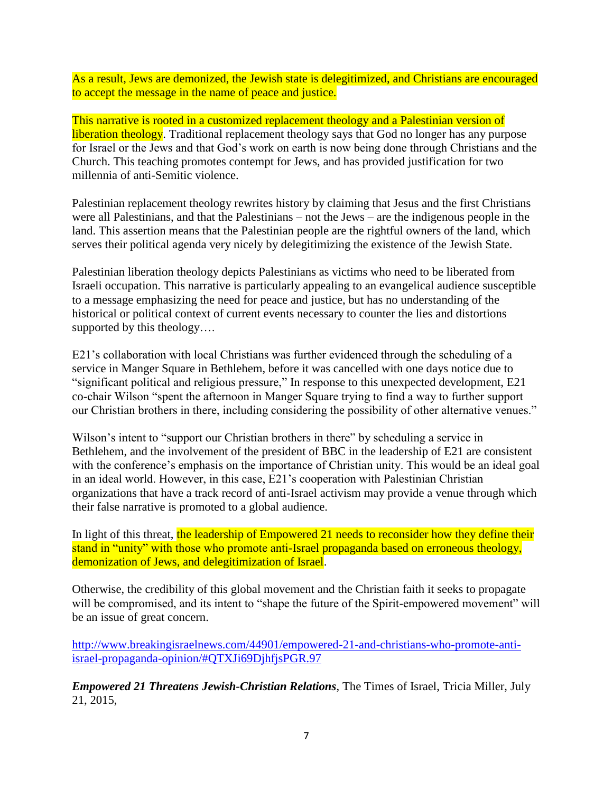As a result, Jews are demonized, the Jewish state is delegitimized, and Christians are encouraged to accept the message in the name of peace and justice.

This narrative is rooted in a customized replacement theology and a Palestinian version of liberation theology. Traditional replacement theology says that God no longer has any purpose for Israel or the Jews and that God's work on earth is now being done through Christians and the Church. This teaching promotes contempt for Jews, and has provided justification for two millennia of anti-Semitic violence.

Palestinian replacement theology rewrites history by claiming that Jesus and the first Christians were all Palestinians, and that the Palestinians – not the Jews – are the indigenous people in the land. This assertion means that the Palestinian people are the rightful owners of the land, which serves their political agenda very nicely by delegitimizing the existence of the Jewish State.

Palestinian liberation theology depicts Palestinians as victims who need to be liberated from Israeli occupation. This narrative is particularly appealing to an evangelical audience susceptible to a message emphasizing the need for peace and justice, but has no understanding of the historical or political context of current events necessary to counter the lies and distortions supported by this theology….

E21's collaboration with local Christians was further evidenced through the scheduling of a service in Manger Square in Bethlehem, before it was cancelled with one days notice due to "significant political and religious pressure," In response to this unexpected development, E21 co-chair Wilson "spent the afternoon in Manger Square trying to find a way to further support our Christian brothers in there, including considering the possibility of other alternative venues."

Wilson's intent to "support our Christian brothers in there" by scheduling a service in Bethlehem, and the involvement of the president of BBC in the leadership of E21 are consistent with the conference's emphasis on the importance of Christian unity. This would be an ideal goal in an ideal world. However, in this case, E21's cooperation with Palestinian Christian organizations that have a track record of anti-Israel activism may provide a venue through which their false narrative is promoted to a global audience.

In light of this threat, the leadership of Empowered 21 needs to reconsider how they define their stand in "unity" with those who promote anti-Israel propaganda based on erroneous theology, demonization of Jews, and delegitimization of Israel.

Otherwise, the credibility of this global movement and the Christian faith it seeks to propagate will be compromised, and its intent to "shape the future of the Spirit-empowered movement" will be an issue of great concern.

[http://www.breakingisraelnews.com/44901/empowered-21-and-christians-who-promote-anti](http://www.breakingisraelnews.com/44901/empowered-21-and-christians-who-promote-anti-israel-propaganda-opinion/#QTXJi69DjhfjsPGR.97)[israel-propaganda-opinion/#QTXJi69DjhfjsPGR.97](http://www.breakingisraelnews.com/44901/empowered-21-and-christians-who-promote-anti-israel-propaganda-opinion/#QTXJi69DjhfjsPGR.97)

*Empowered 21 Threatens Jewish-Christian Relations*, The Times of Israel, Tricia Miller, July 21, 2015,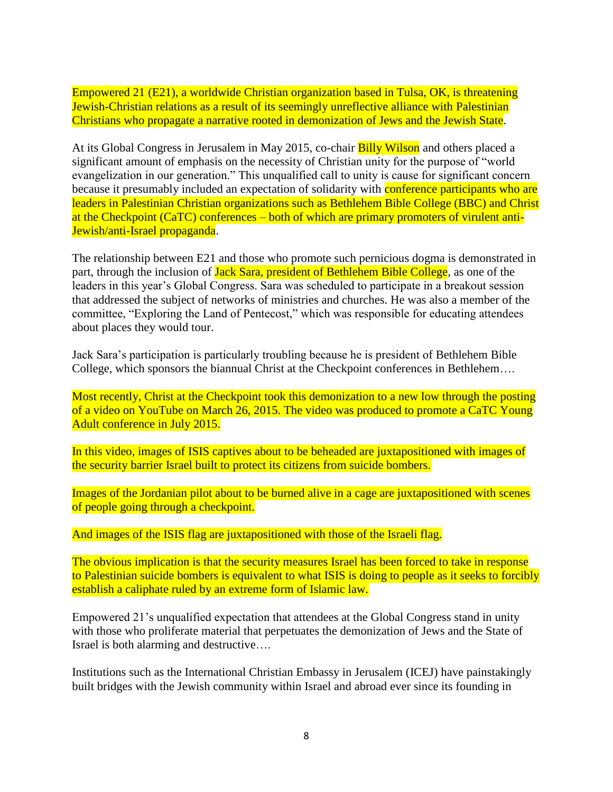Empowered 21 (E21), a worldwide Christian organization based in Tulsa, OK, is threatening Jewish-Christian relations as a result of its seemingly unreflective alliance with Palestinian Christians who propagate a narrative rooted in demonization of Jews and the Jewish State.

At its Global Congress in Jerusalem in May 2015, co-chair **Billy Wilson** and others placed a significant amount of emphasis on the necessity of Christian unity for the purpose of "world evangelization in our generation." This unqualified call to unity is cause for significant concern because it presumably included an expectation of solidarity with conference participants who are leaders in Palestinian Christian organizations such as Bethlehem Bible College (BBC) and Christ at the Checkpoint (CaTC) conferences – both of which are primary promoters of virulent anti-Jewish/anti-Israel propaganda.

The relationship between E21 and those who promote such pernicious dogma is demonstrated in part, through the inclusion of **Jack Sara, president of Bethlehem Bible College**, as one of the leaders in this year's Global Congress. Sara was scheduled to participate in a breakout session that addressed the subject of networks of ministries and churches. He was also a member of the committee, "Exploring the Land of Pentecost," which was responsible for educating attendees about places they would tour.

Jack Sara's participation is particularly troubling because he is president of Bethlehem Bible College, which sponsors the biannual Christ at the Checkpoint conferences in Bethlehem….

Most recently, Christ at the Checkpoint took this demonization to a new low through the posting of a video on YouTube on March 26, 2015. The video was produced to promote a CaTC Young Adult conference in July 2015.

In this video, images of ISIS captives about to be beheaded are juxtapositioned with images of the security barrier Israel built to protect its citizens from suicide bombers.

Images of the Jordanian pilot about to be burned alive in a cage are juxtapositioned with scenes of people going through a checkpoint.

And images of the ISIS flag are juxtapositioned with those of the Israeli flag.

The obvious implication is that the security measures Israel has been forced to take in response to Palestinian suicide bombers is equivalent to what ISIS is doing to people as it seeks to forcibly establish a caliphate ruled by an extreme form of Islamic law.

Empowered 21's unqualified expectation that attendees at the Global Congress stand in unity with those who proliferate material that perpetuates the demonization of Jews and the State of Israel is both alarming and destructive….

Institutions such as the International Christian Embassy in Jerusalem (ICEJ) have painstakingly built bridges with the Jewish community within Israel and abroad ever since its founding in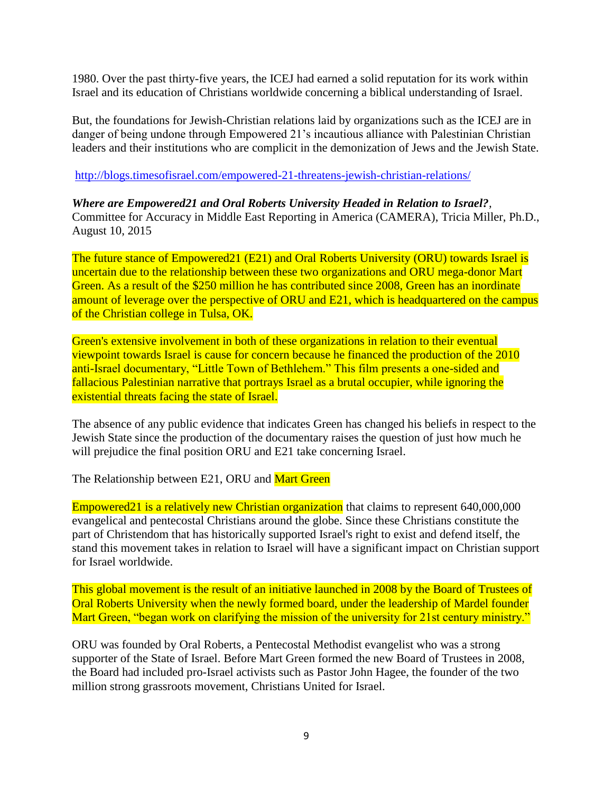1980. Over the past thirty-five years, the ICEJ had earned a solid reputation for its work within Israel and its education of Christians worldwide concerning a biblical understanding of Israel.

But, the foundations for Jewish-Christian relations laid by organizations such as the ICEJ are in danger of being undone through Empowered 21's incautious alliance with Palestinian Christian leaders and their institutions who are complicit in the demonization of Jews and the Jewish State.

<http://blogs.timesofisrael.com/empowered-21-threatens-jewish-christian-relations/>

*Where are Empowered21 and Oral Roberts University Headed in Relation to Israel?,* Committee for Accuracy in Middle East Reporting in America (CAMERA), Tricia Miller, Ph.D., August 10, 2015

The future stance of Empowered21 (E21) and Oral Roberts University (ORU) towards Israel is uncertain due to the relationship between these two organizations and ORU mega-donor Mart Green. As a result of the \$250 million he has contributed since 2008, Green has an inordinate amount of leverage over the perspective of ORU and E21, which is headquartered on the campus of the Christian college in Tulsa, OK.

Green's extensive involvement in both of these organizations in relation to their eventual viewpoint towards Israel is cause for concern because he financed the production of the 2010 anti-Israel documentary, "Little Town of Bethlehem." This film presents a one-sided and fallacious Palestinian narrative that portrays Israel as a brutal occupier, while ignoring the existential threats facing the state of Israel.

The absence of any public evidence that indicates Green has changed his beliefs in respect to the Jewish State since the production of the documentary raises the question of just how much he will prejudice the final position ORU and E21 take concerning Israel.

The Relationship between E21, ORU and Mart Green

Empowered21 is a relatively new Christian organization that claims to represent 640,000,000 evangelical and pentecostal Christians around the globe. Since these Christians constitute the part of Christendom that has historically supported Israel's right to exist and defend itself, the stand this movement takes in relation to Israel will have a significant impact on Christian support for Israel worldwide.

This global movement is the result of an initiative launched in 2008 by the Board of Trustees of Oral Roberts University when the newly formed board, under the leadership of Mardel founder Mart Green, "began work on clarifying the mission of the university for 21st century ministry."

ORU was founded by Oral Roberts, a Pentecostal Methodist evangelist who was a strong supporter of the State of Israel. Before Mart Green formed the new Board of Trustees in 2008, the Board had included pro-Israel activists such as Pastor John Hagee, the founder of the two million strong grassroots movement, Christians United for Israel.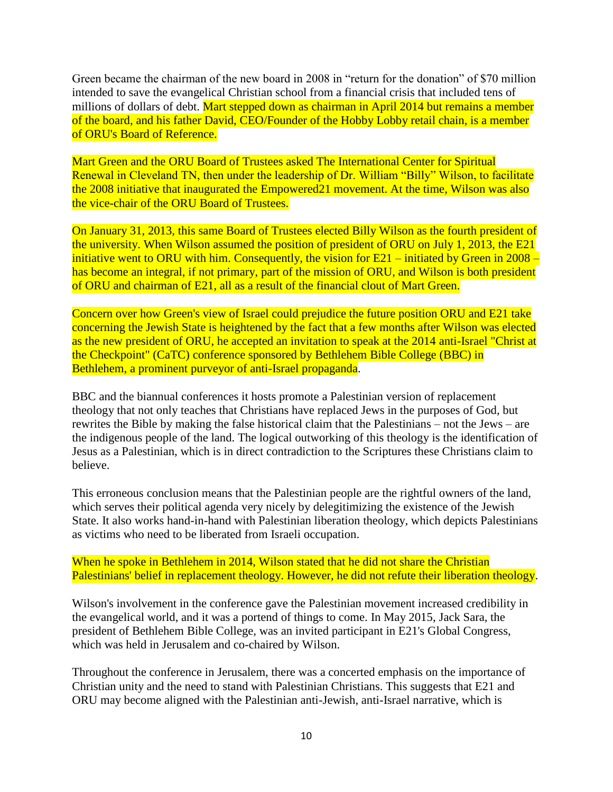Green became the chairman of the new board in 2008 in "return for the donation" of \$70 million intended to save the evangelical Christian school from a financial crisis that included tens of millions of dollars of debt. Mart stepped down as chairman in April 2014 but remains a member of the board, and his father David, CEO/Founder of the Hobby Lobby retail chain, is a member of ORU's Board of Reference.

Mart Green and the ORU Board of Trustees asked The International Center for Spiritual Renewal in Cleveland TN, then under the leadership of Dr. William "Billy" Wilson, to facilitate the 2008 initiative that inaugurated the Empowered21 movement. At the time, Wilson was also the vice-chair of the ORU Board of Trustees.

On January 31, 2013, this same Board of Trustees elected Billy Wilson as the fourth president of the university. When Wilson assumed the position of president of ORU on July 1, 2013, the E21 initiative went to ORU with him. Consequently, the vision for E21 – initiated by Green in 2008 – has become an integral, if not primary, part of the mission of ORU, and Wilson is both president of ORU and chairman of E21, all as a result of the financial clout of Mart Green.

Concern over how Green's view of Israel could prejudice the future position ORU and E21 take concerning the Jewish State is heightened by the fact that a few months after Wilson was elected as the new president of ORU, he accepted an invitation to speak at the 2014 anti-Israel "Christ at the Checkpoint" (CaTC) conference sponsored by Bethlehem Bible College (BBC) in Bethlehem, a prominent purveyor of anti-Israel propaganda.

BBC and the biannual conferences it hosts promote a Palestinian version of replacement theology that not only teaches that Christians have replaced Jews in the purposes of God, but rewrites the Bible by making the false historical claim that the Palestinians – not the Jews – are the indigenous people of the land. The logical outworking of this theology is the identification of Jesus as a Palestinian, which is in direct contradiction to the Scriptures these Christians claim to believe.

This erroneous conclusion means that the Palestinian people are the rightful owners of the land, which serves their political agenda very nicely by delegitimizing the existence of the Jewish State. It also works hand-in-hand with Palestinian liberation theology, which depicts Palestinians as victims who need to be liberated from Israeli occupation.

When he spoke in Bethlehem in 2014, Wilson stated that he did not share the Christian Palestinians' belief in replacement theology. However, he did not refute their liberation theology.

Wilson's involvement in the conference gave the Palestinian movement increased credibility in the evangelical world, and it was a portend of things to come. In May 2015, Jack Sara, the president of Bethlehem Bible College, was an invited participant in E21's Global Congress, which was held in Jerusalem and co-chaired by Wilson.

Throughout the conference in Jerusalem, there was a concerted emphasis on the importance of Christian unity and the need to stand with Palestinian Christians. This suggests that E21 and ORU may become aligned with the Palestinian anti-Jewish, anti-Israel narrative, which is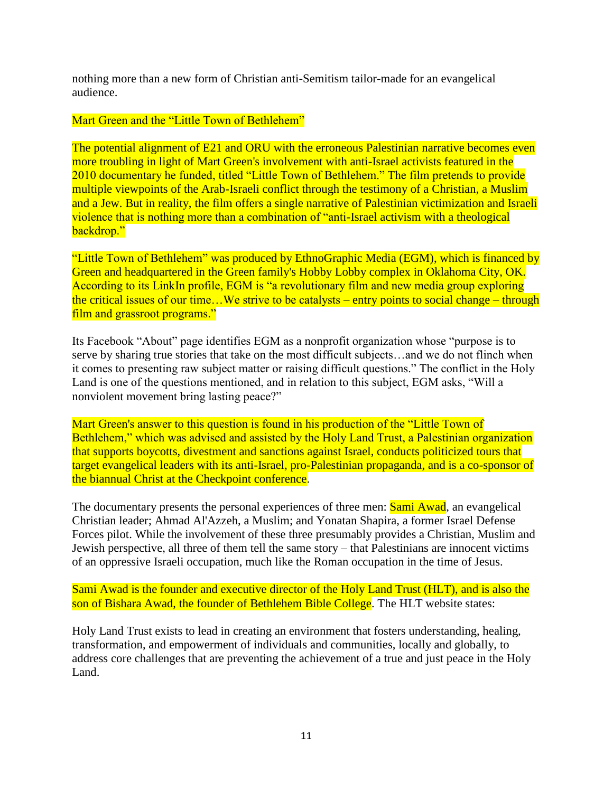nothing more than a new form of Christian anti-Semitism tailor-made for an evangelical audience.

# Mart Green and the "Little Town of Bethlehem"

The potential alignment of E21 and ORU with the erroneous Palestinian narrative becomes even more troubling in light of Mart Green's involvement with anti-Israel activists featured in the 2010 documentary he funded, titled "Little Town of Bethlehem." The film pretends to provide multiple viewpoints of the Arab-Israeli conflict through the testimony of a Christian, a Muslim and a Jew. But in reality, the film offers a single narrative of Palestinian victimization and Israeli violence that is nothing more than a combination of "anti-Israel activism with a theological backdrop."

"Little Town of Bethlehem" was produced by EthnoGraphic Media (EGM), which is financed by Green and headquartered in the Green family's Hobby Lobby complex in Oklahoma City, OK. According to its LinkIn profile, EGM is "a revolutionary film and new media group exploring the critical issues of our time…We strive to be catalysts – entry points to social change – through film and grassroot programs."

Its Facebook "About" page identifies EGM as a nonprofit organization whose "purpose is to serve by sharing true stories that take on the most difficult subjects…and we do not flinch when it comes to presenting raw subject matter or raising difficult questions." The conflict in the Holy Land is one of the questions mentioned, and in relation to this subject, EGM asks, "Will a nonviolent movement bring lasting peace?"

Mart Green's answer to this question is found in his production of the "Little Town of Bethlehem," which was advised and assisted by the Holy Land Trust, a Palestinian organization that supports boycotts, divestment and sanctions against Israel, conducts politicized tours that target evangelical leaders with its anti-Israel, pro-Palestinian propaganda, and is a co-sponsor of the biannual Christ at the Checkpoint conference.

The documentary presents the personal experiences of three men: **Sami Awad**, an evangelical Christian leader; Ahmad Al'Azzeh, a Muslim; and Yonatan Shapira, a former Israel Defense Forces pilot. While the involvement of these three presumably provides a Christian, Muslim and Jewish perspective, all three of them tell the same story – that Palestinians are innocent victims of an oppressive Israeli occupation, much like the Roman occupation in the time of Jesus.

Sami Awad is the founder and executive director of the Holy Land Trust (HLT), and is also the son of Bishara Awad, the founder of Bethlehem Bible College. The HLT website states:

Holy Land Trust exists to lead in creating an environment that fosters understanding, healing, transformation, and empowerment of individuals and communities, locally and globally, to address core challenges that are preventing the achievement of a true and just peace in the Holy Land.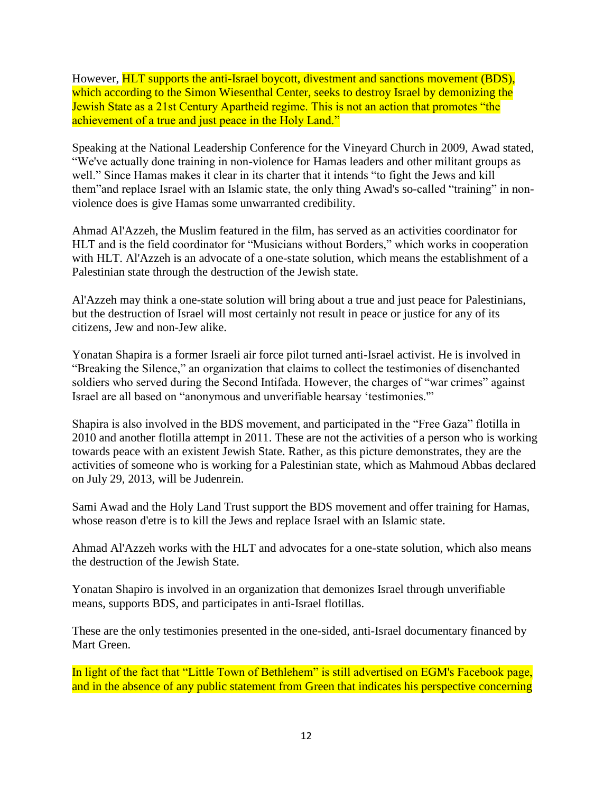However, HLT supports the anti-Israel boycott, divestment and sanctions movement (BDS), which according to the Simon Wiesenthal Center, seeks to destroy Israel by demonizing the Jewish State as a 21st Century Apartheid regime. This is not an action that promotes "the achievement of a true and just peace in the Holy Land."

Speaking at the National Leadership Conference for the Vineyard Church in 2009, Awad stated, "We've actually done training in non-violence for Hamas leaders and other militant groups as well." Since Hamas makes it clear in its charter that it intends "to fight the Jews and kill them"and replace Israel with an Islamic state, the only thing Awad's so-called "training" in nonviolence does is give Hamas some unwarranted credibility.

Ahmad Al'Azzeh, the Muslim featured in the film, has served as an activities coordinator for HLT and is the field coordinator for "Musicians without Borders," which works in cooperation with HLT. Al'Azzeh is an advocate of a one-state solution, which means the establishment of a Palestinian state through the destruction of the Jewish state.

Al'Azzeh may think a one-state solution will bring about a true and just peace for Palestinians, but the destruction of Israel will most certainly not result in peace or justice for any of its citizens, Jew and non-Jew alike.

Yonatan Shapira is a former Israeli air force pilot turned anti-Israel activist. He is involved in "Breaking the Silence," an organization that claims to collect the testimonies of disenchanted soldiers who served during the Second Intifada. However, the charges of "war crimes" against Israel are all based on "anonymous and unverifiable hearsay 'testimonies.'"

Shapira is also involved in the BDS movement, and participated in the "Free Gaza" flotilla in 2010 and another flotilla attempt in 2011. These are not the activities of a person who is working towards peace with an existent Jewish State. Rather, as this picture demonstrates, they are the activities of someone who is working for a Palestinian state, which as Mahmoud Abbas declared on July 29, 2013, will be Judenrein.

Sami Awad and the Holy Land Trust support the BDS movement and offer training for Hamas, whose reason d'etre is to kill the Jews and replace Israel with an Islamic state.

Ahmad Al'Azzeh works with the HLT and advocates for a one-state solution, which also means the destruction of the Jewish State.

Yonatan Shapiro is involved in an organization that demonizes Israel through unverifiable means, supports BDS, and participates in anti-Israel flotillas.

These are the only testimonies presented in the one-sided, anti-Israel documentary financed by Mart Green.

In light of the fact that "Little Town of Bethlehem" is still advertised on EGM's Facebook page, and in the absence of any public statement from Green that indicates his perspective concerning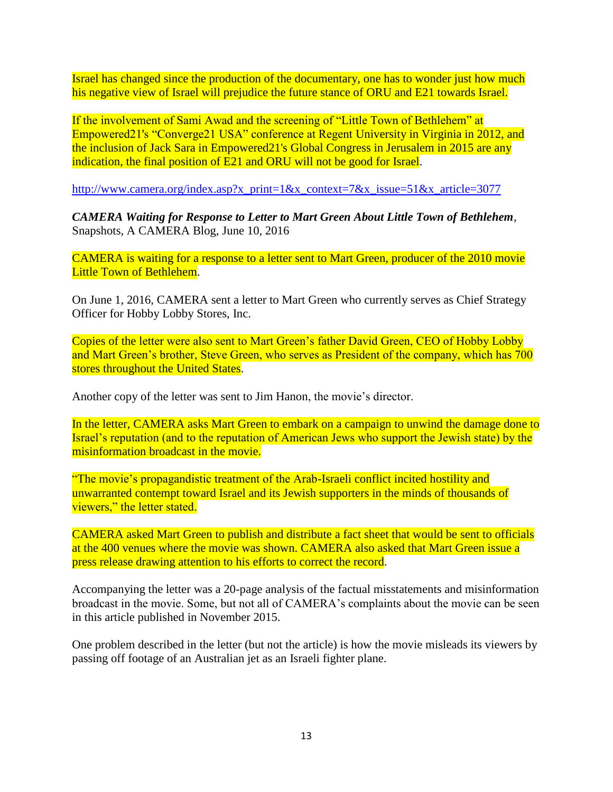Israel has changed since the production of the documentary, one has to wonder just how much his negative view of Israel will prejudice the future stance of ORU and E21 towards Israel.

If the involvement of Sami Awad and the screening of "Little Town of Bethlehem" at Empowered21's "Converge21 USA" conference at Regent University in Virginia in 2012, and the inclusion of Jack Sara in Empowered21's Global Congress in Jerusalem in 2015 are any indication, the final position of E21 and ORU will not be good for Israel.

[http://www.camera.org/index.asp?x\\_print=1&x\\_context=7&x\\_issue=51&x\\_article=3077](http://www.camera.org/index.asp?x_print=1&x_context=7&x_issue=51&x_article=3077)

*CAMERA Waiting for Response to Letter to Mart Green About Little Town of Bethlehem*, Snapshots, A CAMERA Blog, June 10, 2016

CAMERA is waiting for a response to a letter sent to Mart Green, producer of the 2010 movie Little Town of Bethlehem.

On June 1, 2016, CAMERA sent a letter to Mart Green who currently serves as Chief Strategy Officer for Hobby Lobby Stores, Inc.

Copies of the letter were also sent to Mart Green's father David Green, CEO of Hobby Lobby and Mart Green's brother, Steve Green, who serves as President of the company, which has 700 stores throughout the United States.

Another copy of the letter was sent to Jim Hanon, the movie's director.

In the letter, CAMERA asks Mart Green to embark on a campaign to unwind the damage done to Israel's reputation (and to the reputation of American Jews who support the Jewish state) by the misinformation broadcast in the movie.

"The movie's propagandistic treatment of the Arab-Israeli conflict incited hostility and unwarranted contempt toward Israel and its Jewish supporters in the minds of thousands of viewers," the letter stated.

CAMERA asked Mart Green to publish and distribute a fact sheet that would be sent to officials at the 400 venues where the movie was shown. CAMERA also asked that Mart Green issue a press release drawing attention to his efforts to correct the record.

Accompanying the letter was a 20-page analysis of the factual misstatements and misinformation broadcast in the movie. Some, but not all of CAMERA's complaints about the movie can be seen in this article published in November 2015.

One problem described in the letter (but not the article) is how the movie misleads its viewers by passing off footage of an Australian jet as an Israeli fighter plane.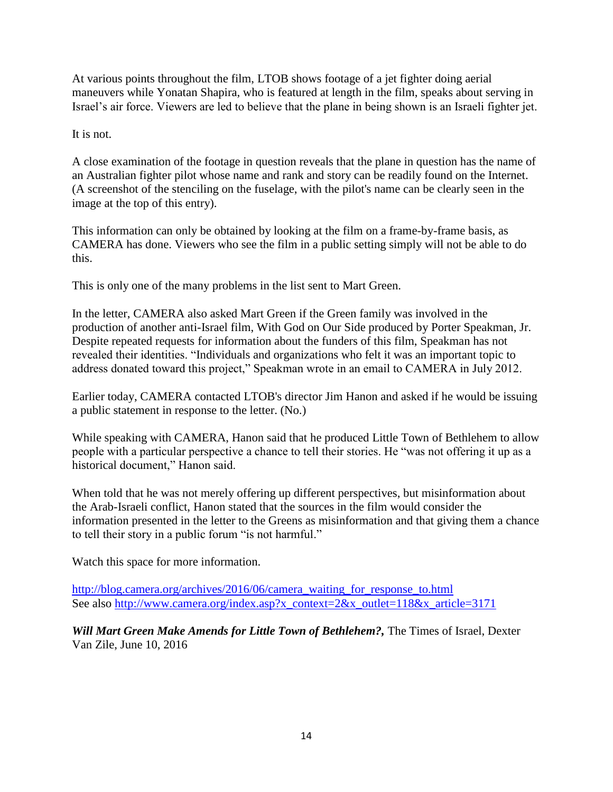At various points throughout the film, LTOB shows footage of a jet fighter doing aerial maneuvers while Yonatan Shapira, who is featured at length in the film, speaks about serving in Israel's air force. Viewers are led to believe that the plane in being shown is an Israeli fighter jet.

It is not.

A close examination of the footage in question reveals that the plane in question has the name of an Australian fighter pilot whose name and rank and story can be readily found on the Internet. (A screenshot of the stenciling on the fuselage, with the pilot's name can be clearly seen in the image at the top of this entry).

This information can only be obtained by looking at the film on a frame-by-frame basis, as CAMERA has done. Viewers who see the film in a public setting simply will not be able to do this.

This is only one of the many problems in the list sent to Mart Green.

In the letter, CAMERA also asked Mart Green if the Green family was involved in the production of another anti-Israel film, With God on Our Side produced by Porter Speakman, Jr. Despite repeated requests for information about the funders of this film, Speakman has not revealed their identities. "Individuals and organizations who felt it was an important topic to address donated toward this project," Speakman wrote in an email to CAMERA in July 2012.

Earlier today, CAMERA contacted LTOB's director Jim Hanon and asked if he would be issuing a public statement in response to the letter. (No.)

While speaking with CAMERA, Hanon said that he produced Little Town of Bethlehem to allow people with a particular perspective a chance to tell their stories. He "was not offering it up as a historical document," Hanon said.

When told that he was not merely offering up different perspectives, but misinformation about the Arab-Israeli conflict, Hanon stated that the sources in the film would consider the information presented in the letter to the Greens as misinformation and that giving them a chance to tell their story in a public forum "is not harmful."

Watch this space for more information.

[http://blog.camera.org/archives/2016/06/camera\\_waiting\\_for\\_response\\_to.html](http://blog.camera.org/archives/2016/06/camera_waiting_for_response_to.html) See also [http://www.camera.org/index.asp?x\\_context=2&x\\_outlet=118&x\\_article=3171](http://www.camera.org/index.asp?x_context=2&x_outlet=118&x_article=3171)

*Will Mart Green Make Amends for Little Town of Bethlehem?,* The Times of Israel, Dexter Van Zile, June 10, 2016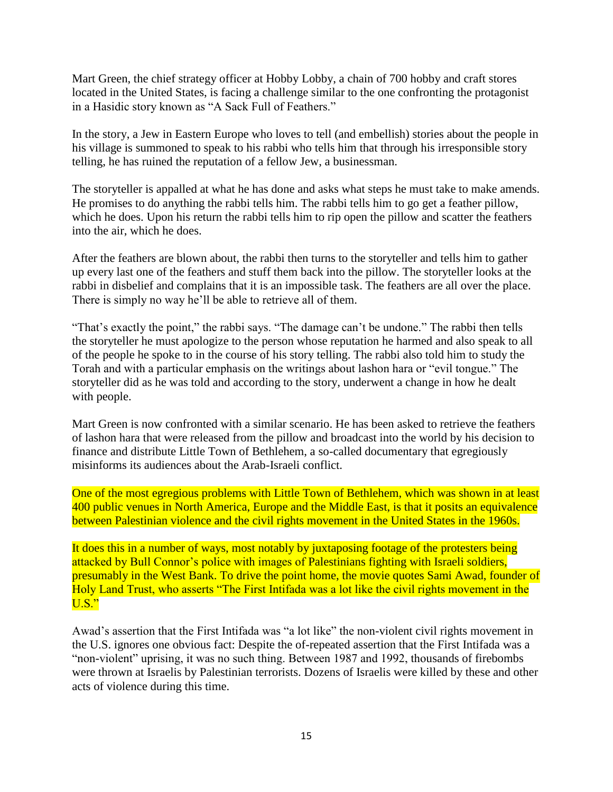Mart Green, the chief strategy officer at Hobby Lobby, a chain of 700 hobby and craft stores located in the United States, is facing a challenge similar to the one confronting the protagonist in a Hasidic story known as "A Sack Full of Feathers."

In the story, a Jew in Eastern Europe who loves to tell (and embellish) stories about the people in his village is summoned to speak to his rabbi who tells him that through his irresponsible story telling, he has ruined the reputation of a fellow Jew, a businessman.

The storyteller is appalled at what he has done and asks what steps he must take to make amends. He promises to do anything the rabbi tells him. The rabbi tells him to go get a feather pillow, which he does. Upon his return the rabbi tells him to rip open the pillow and scatter the feathers into the air, which he does.

After the feathers are blown about, the rabbi then turns to the storyteller and tells him to gather up every last one of the feathers and stuff them back into the pillow. The storyteller looks at the rabbi in disbelief and complains that it is an impossible task. The feathers are all over the place. There is simply no way he'll be able to retrieve all of them.

"That's exactly the point," the rabbi says. "The damage can't be undone." The rabbi then tells the storyteller he must apologize to the person whose reputation he harmed and also speak to all of the people he spoke to in the course of his story telling. The rabbi also told him to study the Torah and with a particular emphasis on the writings about lashon hara or "evil tongue." The storyteller did as he was told and according to the story, underwent a change in how he dealt with people.

Mart Green is now confronted with a similar scenario. He has been asked to retrieve the feathers of lashon hara that were released from the pillow and broadcast into the world by his decision to finance and distribute Little Town of Bethlehem, a so-called documentary that egregiously misinforms its audiences about the Arab-Israeli conflict.

One of the most egregious problems with Little Town of Bethlehem, which was shown in at least 400 public venues in North America, Europe and the Middle East, is that it posits an equivalence between Palestinian violence and the civil rights movement in the United States in the 1960s.

It does this in a number of ways, most notably by juxtaposing footage of the protesters being attacked by Bull Connor's police with images of Palestinians fighting with Israeli soldiers, presumably in the West Bank. To drive the point home, the movie quotes Sami Awad, founder of Holy Land Trust, who asserts "The First Intifada was a lot like the civil rights movement in the U.S."

Awad's assertion that the First Intifada was "a lot like" the non-violent civil rights movement in the U.S. ignores one obvious fact: Despite the of-repeated assertion that the First Intifada was a "non-violent" uprising, it was no such thing. Between 1987 and 1992, thousands of firebombs were thrown at Israelis by Palestinian terrorists. Dozens of Israelis were killed by these and other acts of violence during this time.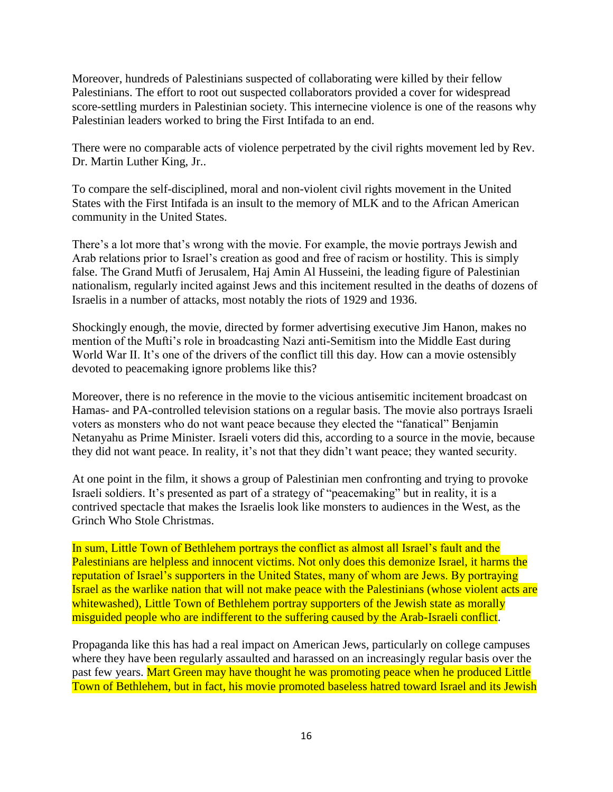Moreover, hundreds of Palestinians suspected of collaborating were killed by their fellow Palestinians. The effort to root out suspected collaborators provided a cover for widespread score-settling murders in Palestinian society. This internecine violence is one of the reasons why Palestinian leaders worked to bring the First Intifada to an end.

There were no comparable acts of violence perpetrated by the civil rights movement led by Rev. Dr. Martin Luther King, Jr..

To compare the self-disciplined, moral and non-violent civil rights movement in the United States with the First Intifada is an insult to the memory of MLK and to the African American community in the United States.

There's a lot more that's wrong with the movie. For example, the movie portrays Jewish and Arab relations prior to Israel's creation as good and free of racism or hostility. This is simply false. The Grand Mutfi of Jerusalem, Haj Amin Al Husseini, the leading figure of Palestinian nationalism, regularly incited against Jews and this incitement resulted in the deaths of dozens of Israelis in a number of attacks, most notably the riots of 1929 and 1936.

Shockingly enough, the movie, directed by former advertising executive Jim Hanon, makes no mention of the Mufti's role in broadcasting Nazi anti-Semitism into the Middle East during World War II. It's one of the drivers of the conflict till this day. How can a movie ostensibly devoted to peacemaking ignore problems like this?

Moreover, there is no reference in the movie to the vicious antisemitic incitement broadcast on Hamas- and PA-controlled television stations on a regular basis. The movie also portrays Israeli voters as monsters who do not want peace because they elected the "fanatical" Benjamin Netanyahu as Prime Minister. Israeli voters did this, according to a source in the movie, because they did not want peace. In reality, it's not that they didn't want peace; they wanted security.

At one point in the film, it shows a group of Palestinian men confronting and trying to provoke Israeli soldiers. It's presented as part of a strategy of "peacemaking" but in reality, it is a contrived spectacle that makes the Israelis look like monsters to audiences in the West, as the Grinch Who Stole Christmas.

In sum, Little Town of Bethlehem portrays the conflict as almost all Israel's fault and the Palestinians are helpless and innocent victims. Not only does this demonize Israel, it harms the reputation of Israel's supporters in the United States, many of whom are Jews. By portraying Israel as the warlike nation that will not make peace with the Palestinians (whose violent acts are whitewashed), Little Town of Bethlehem portray supporters of the Jewish state as morally misguided people who are indifferent to the suffering caused by the Arab-Israeli conflict.

Propaganda like this has had a real impact on American Jews, particularly on college campuses where they have been regularly assaulted and harassed on an increasingly regular basis over the past few years. Mart Green may have thought he was promoting peace when he produced Little Town of Bethlehem, but in fact, his movie promoted baseless hatred toward Israel and its Jewish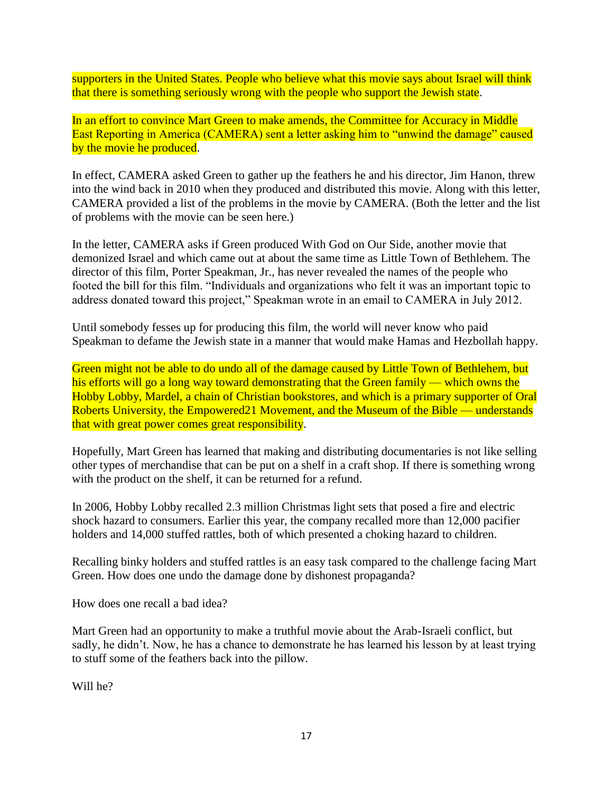supporters in the United States. People who believe what this movie says about Israel will think that there is something seriously wrong with the people who support the Jewish state.

In an effort to convince Mart Green to make amends, the Committee for Accuracy in Middle East Reporting in America (CAMERA) sent a letter asking him to "unwind the damage" caused by the movie he produced.

In effect, CAMERA asked Green to gather up the feathers he and his director, Jim Hanon, threw into the wind back in 2010 when they produced and distributed this movie. Along with this letter, CAMERA provided a list of the problems in the movie by CAMERA. (Both the letter and the list of problems with the movie can be seen here.)

In the letter, CAMERA asks if Green produced With God on Our Side, another movie that demonized Israel and which came out at about the same time as Little Town of Bethlehem. The director of this film, Porter Speakman, Jr., has never revealed the names of the people who footed the bill for this film. "Individuals and organizations who felt it was an important topic to address donated toward this project," Speakman wrote in an email to CAMERA in July 2012.

Until somebody fesses up for producing this film, the world will never know who paid Speakman to defame the Jewish state in a manner that would make Hamas and Hezbollah happy.

Green might not be able to do undo all of the damage caused by Little Town of Bethlehem, but his efforts will go a long way toward demonstrating that the Green family — which owns the Hobby Lobby, Mardel, a chain of Christian bookstores, and which is a primary supporter of Oral Roberts University, the Empowered21 Movement, and the Museum of the Bible — understands that with great power comes great responsibility.

Hopefully, Mart Green has learned that making and distributing documentaries is not like selling other types of merchandise that can be put on a shelf in a craft shop. If there is something wrong with the product on the shelf, it can be returned for a refund.

In 2006, Hobby Lobby recalled 2.3 million Christmas light sets that posed a fire and electric shock hazard to consumers. Earlier this year, the company recalled more than 12,000 pacifier holders and 14,000 stuffed rattles, both of which presented a choking hazard to children.

Recalling binky holders and stuffed rattles is an easy task compared to the challenge facing Mart Green. How does one undo the damage done by dishonest propaganda?

How does one recall a bad idea?

Mart Green had an opportunity to make a truthful movie about the Arab-Israeli conflict, but sadly, he didn't. Now, he has a chance to demonstrate he has learned his lesson by at least trying to stuff some of the feathers back into the pillow.

Will he?